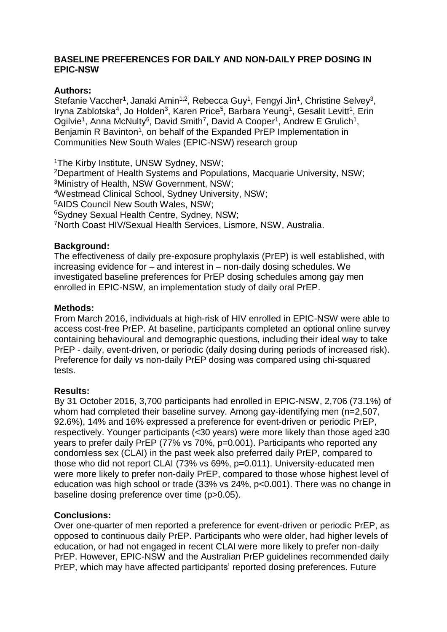### **BASELINE PREFERENCES FOR DAILY AND NON-DAILY PREP DOSING IN EPIC-NSW**

# **Authors:**

Stefanie Vaccher<sup>1</sup>, Janaki Amin<sup>1,2</sup>, Rebecca Guy<sup>1</sup>, Fengyi Jin<sup>1</sup>, Christine Selvey<sup>3</sup>, Iryna Zablotska<sup>4</sup>, Jo Holden<sup>3</sup>, Karen Price<sup>5</sup>, Barbara Yeung<sup>1</sup>, Gesalit Levitt<sup>1</sup>, Erin Ogilvie<sup>1</sup>, Anna McNulty<sup>6</sup>, David Smith<sup>7</sup>, David A Cooper<sup>1</sup>, Andrew E Grulich<sup>1</sup>, Benjamin R Bavinton<sup>1</sup>, on behalf of the Expanded PrEP Implementation in Communities New South Wales (EPIC-NSW) research group

The Kirby Institute, UNSW Sydney, NSW; Department of Health Systems and Populations, Macquarie University, NSW; Ministry of Health, NSW Government, NSW; Westmead Clinical School, Sydney University, NSW; AIDS Council New South Wales, NSW; Sydney Sexual Health Centre, Sydney, NSW; North Coast HIV/Sexual Health Services, Lismore, NSW, Australia.

### **Background:**

The effectiveness of daily pre-exposure prophylaxis (PrEP) is well established, with increasing evidence for – and interest in – non-daily dosing schedules. We investigated baseline preferences for PrEP dosing schedules among gay men enrolled in EPIC-NSW*,* an implementation study of daily oral PrEP.

### **Methods:**

From March 2016, individuals at high-risk of HIV enrolled in EPIC-NSW were able to access cost-free PrEP. At baseline, participants completed an optional online survey containing behavioural and demographic questions, including their ideal way to take PrEP - daily, event-driven, or periodic (daily dosing during periods of increased risk). Preference for daily vs non-daily PrEP dosing was compared using chi-squared tests.

### **Results:**

By 31 October 2016, 3,700 participants had enrolled in EPIC-NSW, 2,706 (73.1%) of whom had completed their baseline survey. Among gay-identifying men (n=2,507, 92.6%), 14% and 16% expressed a preference for event-driven or periodic PrEP, respectively. Younger participants (<30 years) were more likely than those aged ≥30 years to prefer daily PrEP (77% vs 70%, p=0.001). Participants who reported any condomless sex (CLAI) in the past week also preferred daily PrEP, compared to those who did not report CLAI (73% vs 69%, p=0.011). University-educated men were more likely to prefer non-daily PrEP, compared to those whose highest level of education was high school or trade (33% vs 24%, p<0.001). There was no change in baseline dosing preference over time (p>0.05).

### **Conclusions:**

Over one-quarter of men reported a preference for event-driven or periodic PrEP, as opposed to continuous daily PrEP. Participants who were older, had higher levels of education, or had not engaged in recent CLAI were more likely to prefer non-daily PrEP. However, EPIC-NSW and the Australian PrEP guidelines recommended daily PrEP, which may have affected participants' reported dosing preferences. Future